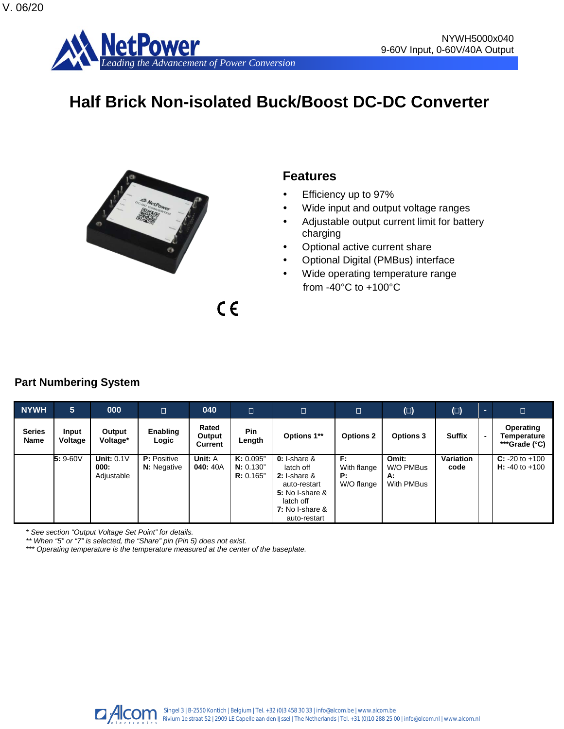

# **Half Brick Non-isolated Buck/Boost DC-DC Converter**



# **Features**

- Efficiency up to 97%
- Wide input and output voltage ranges
- Adjustable output current limit for battery charging
- Optional active current share
- Optional Digital (PMBus) interface
- Wide operating temperature range from -40°C to +100°C

# **Part Numbering System**

| <b>NYWH</b>           | 5 <sup>5</sup>   | 000                                | $\Box$                                   | 040                        | $\Box$                              | $\Box$                                                                                                                             |                                       | $(\Box)$                               | $(\Box)$          |                | D                                         |
|-----------------------|------------------|------------------------------------|------------------------------------------|----------------------------|-------------------------------------|------------------------------------------------------------------------------------------------------------------------------------|---------------------------------------|----------------------------------------|-------------------|----------------|-------------------------------------------|
| <b>Series</b><br>Name | Input<br>Voltage | Output<br>Voltage*                 | Enabling<br>Logic                        | Rated<br>Output<br>Current | <b>Pin</b><br>Length                | Options 1**                                                                                                                        | <b>Options 2</b>                      | <b>Options 3</b>                       | <b>Suffix</b>     | $\blacksquare$ | Operating<br>Temperature<br>***Grade (°C) |
|                       | $5: 9-60V$       | Unit: $0.1V$<br>000:<br>Adjustable | <b>P:</b> Positive<br><b>N:</b> Negative | Unit: A<br>040: 40A        | K: 0.095"<br>N: 0.130"<br>R: 0.165" | $0: I-share \&$<br>latch off<br>$2: I-share \&$<br>auto-restart<br>5: No I-share &<br>latch off<br>7: No I-share &<br>auto-restart | F:<br>With flange<br>P:<br>W/O flange | Omit:<br>W/O PMBus<br>А:<br>With PMBus | Variation<br>code |                | $C: -20$ to $+100$<br>$H: -40$ to $+100$  |

 $C \in$ 

*\* See section "Output Voltage Set Point" for details.*

*\*\* When "5" or "7" is selected, the "Share" pin (Pin 5) does not exist.*

*\*\*\* Operating temperature is the temperature measured at the center of the baseplate.*

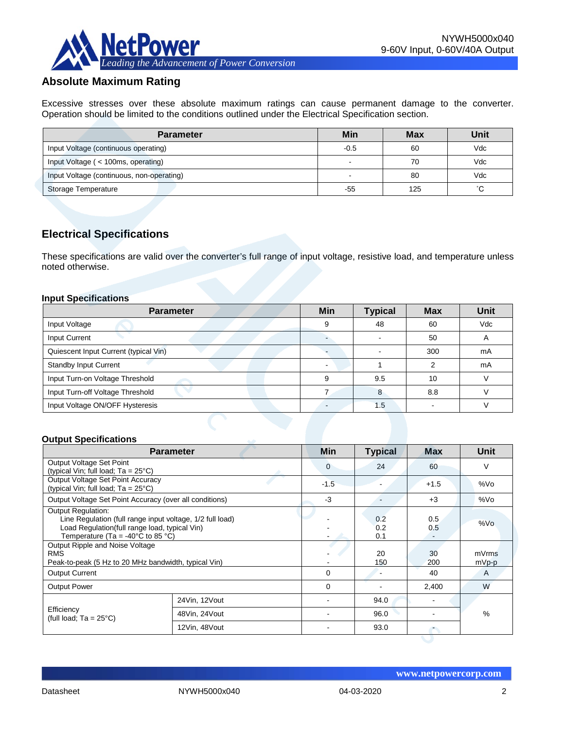

# **Absolute Maximum Rating**

Excessive stresses over these absolute maximum ratings can cause permanent damage to the converter. Operation should be limited to the conditions outlined under the Electrical Specification section.

| <b>Parameter</b>                          | Min    | <b>Max</b> | Unit         |
|-------------------------------------------|--------|------------|--------------|
| Input Voltage (continuous operating)      | $-0.5$ | 60         | Vdc          |
| Input Voltage (< 100ms, operating)        |        | 70         | Vdc          |
| Input Voltage (continuous, non-operating) | -      | 80         | Vdc          |
| Storage Temperature                       | -55    | 125        | $^{\circ}$ C |

# **Electrical Specifications**

These specifications are valid over the converter's full range of input voltage, resistive load, and temperature unless noted otherwise.

#### **Input Specifications**

| <b>Parameter</b>                      | Min | <b>Typical</b> | <b>Max</b> | Unit                     |
|---------------------------------------|-----|----------------|------------|--------------------------|
| Input Voltage                         |     | 48             | 60         | Vdc                      |
| Input Current                         |     |                | 50         | $\overline{\phantom{a}}$ |
| Quiescent Input Current (typical Vin) |     |                | 300        | mA                       |
| <b>Standby Input Current</b>          |     |                | ◠          | mA                       |
| Input Turn-on Voltage Threshold       | a   | 9.5            | 10         |                          |
| Input Turn-off Voltage Threshold      |     | 8              | 8.8        |                          |
| Input Voltage ON/OFF Hysteresis       |     | 1.5            |            |                          |

#### **Output Specifications**

|                                                                                                                                                                                                   | <b>Parameter</b> | <b>Min</b>     | <b>Typical</b>           | <b>Max</b> | Unit             |
|---------------------------------------------------------------------------------------------------------------------------------------------------------------------------------------------------|------------------|----------------|--------------------------|------------|------------------|
| Output Voltage Set Point<br>(typical Vin; full load; $Ta = 25^{\circ}C$ )                                                                                                                         |                  | $\overline{0}$ | 24                       | 60         | V                |
| Output Voltage Set Point Accuracy<br>(typical Vin; full load; $Ta = 25^{\circ}C$ )                                                                                                                |                  | $-1.5$         |                          | $+1.5$     | %Vo              |
| Output Voltage Set Point Accuracy (over all conditions)                                                                                                                                           |                  | $-3$           |                          | $+3$       | %Vo              |
| <b>Output Regulation:</b><br>Line Regulation (full range input voltage, 1/2 full load)<br>Load Regulation(full range load, typical Vin)<br>Temperature (Ta = -40 $^{\circ}$ C to 85 $^{\circ}$ C) |                  |                | 0.2<br>0.2<br>0.1        | 0.5<br>0.5 | %Vo              |
| Output Ripple and Noise Voltage<br><b>RMS</b><br>Peak-to-peak (5 Hz to 20 MHz bandwidth, typical Vin)                                                                                             |                  |                | 20<br>150                | 30<br>200  | mVrms<br>$mVp-p$ |
| <b>Output Current</b>                                                                                                                                                                             |                  | 0              | $\overline{\phantom{a}}$ | 40         | A                |
| <b>Output Power</b>                                                                                                                                                                               |                  | $\Omega$       |                          | 2,400      | W                |
|                                                                                                                                                                                                   | 24Vin, 12Vout    |                | 94.0                     |            |                  |
| Efficiency<br>(full load; $Ta = 25^{\circ}C$ )                                                                                                                                                    | 48Vin, 24Vout    |                | 96.0                     |            | $\frac{0}{0}$    |
|                                                                                                                                                                                                   | 12Vin, 48Vout    |                | 93.0                     |            |                  |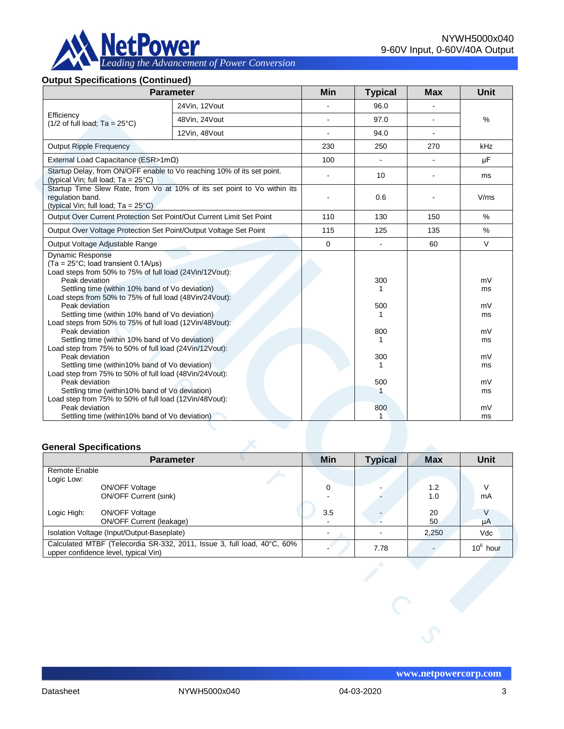

*Leading the Advancement of Power Conversion* 

#### **Output Specifications (Continued)**

|                                                                                                                                                                                                                                                                                                                                                                                                                                                                                                                                                                                                                                                                                                                                                                                                                                                                             | <b>Parameter</b>                                                         | <b>Min</b>     | <b>Typical</b>                                             | <b>Max</b> | Unit                                                                 |
|-----------------------------------------------------------------------------------------------------------------------------------------------------------------------------------------------------------------------------------------------------------------------------------------------------------------------------------------------------------------------------------------------------------------------------------------------------------------------------------------------------------------------------------------------------------------------------------------------------------------------------------------------------------------------------------------------------------------------------------------------------------------------------------------------------------------------------------------------------------------------------|--------------------------------------------------------------------------|----------------|------------------------------------------------------------|------------|----------------------------------------------------------------------|
|                                                                                                                                                                                                                                                                                                                                                                                                                                                                                                                                                                                                                                                                                                                                                                                                                                                                             | 24Vin, 12Vout                                                            |                | 96.0                                                       |            |                                                                      |
| Efficiency<br>$(1/2$ of full load; Ta = 25°C)                                                                                                                                                                                                                                                                                                                                                                                                                                                                                                                                                                                                                                                                                                                                                                                                                               | 48Vin, 24Vout                                                            |                | 97.0                                                       |            | $\frac{0}{0}$                                                        |
|                                                                                                                                                                                                                                                                                                                                                                                                                                                                                                                                                                                                                                                                                                                                                                                                                                                                             | 12Vin, 48Vout                                                            |                | 94.0                                                       |            |                                                                      |
| <b>Output Ripple Frequency</b>                                                                                                                                                                                                                                                                                                                                                                                                                                                                                                                                                                                                                                                                                                                                                                                                                                              |                                                                          | 230            | 250                                                        | 270        | kHz                                                                  |
| External Load Capacitance (ESR>1m $\Omega$ )                                                                                                                                                                                                                                                                                                                                                                                                                                                                                                                                                                                                                                                                                                                                                                                                                                |                                                                          | 100            |                                                            |            | μF                                                                   |
| Startup Delay, from ON/OFF enable to Vo reaching 10% of its set point.<br>(typical Vin; full load; $Ta = 25^{\circ}C$ )                                                                                                                                                                                                                                                                                                                                                                                                                                                                                                                                                                                                                                                                                                                                                     |                                                                          | $\overline{a}$ | 10                                                         |            | ms                                                                   |
| regulation band.<br>(typical Vin; full load; $Ta = 25^{\circ}C$ )                                                                                                                                                                                                                                                                                                                                                                                                                                                                                                                                                                                                                                                                                                                                                                                                           | Startup Time Slew Rate, from Vo at 10% of its set point to Vo within its |                | 0.6                                                        |            | V/ms                                                                 |
| Output Over Current Protection Set Point/Out Current Limit Set Point                                                                                                                                                                                                                                                                                                                                                                                                                                                                                                                                                                                                                                                                                                                                                                                                        |                                                                          | 110            | 130                                                        | 150        | $\frac{0}{0}$                                                        |
| Output Over Voltage Protection Set Point/Output Voltage Set Point                                                                                                                                                                                                                                                                                                                                                                                                                                                                                                                                                                                                                                                                                                                                                                                                           |                                                                          | 115            | 125                                                        | 135        | $\%$                                                                 |
| Output Voltage Adjustable Range                                                                                                                                                                                                                                                                                                                                                                                                                                                                                                                                                                                                                                                                                                                                                                                                                                             |                                                                          | 0              | ä,                                                         | 60         | $\vee$                                                               |
| <b>Dynamic Response</b><br>$(Ta = 25^{\circ}C;$ load transient 0.1A/ $\mu s$ )<br>Load steps from 50% to 75% of full load (24Vin/12Vout):<br>Peak deviation<br>Settling time (within 10% band of Vo deviation)<br>Load steps from 50% to 75% of full load (48Vin/24Vout):<br>Peak deviation<br>Settling time (within 10% band of Vo deviation)<br>Load steps from 50% to 75% of full load (12Vin/48Vout):<br>Peak deviation<br>Settling time (within 10% band of Vo deviation)<br>Load step from 75% to 50% of full load (24Vin/12Vout):<br>Peak deviation<br>Settling time (within 10% band of Vo deviation)<br>Load step from 75% to 50% of full load (48Vin/24Vout):<br>Peak deviation<br>Settling time (within 10% band of Vo deviation)<br>Load step from 75% to 50% of full load (12Vin/48Vout):<br>Peak deviation<br>Settling time (within 10% band of Vo deviation) |                                                                          |                | 300<br>1<br>500<br>1<br>800<br>1<br>300<br>1<br>500<br>800 |            | mV<br>ms<br>mV<br>ms<br>mV<br>ms<br>mV<br>ms<br>mV<br>ms<br>mV<br>ms |

#### **General Specifications**

|                             | <b>Parameter</b>                                                                                                | <b>Min</b> | <b>Typical</b> | <b>Max</b> | <b>Unit</b>  |
|-----------------------------|-----------------------------------------------------------------------------------------------------------------|------------|----------------|------------|--------------|
| Remote Enable<br>Logic Low: | ON/OFF Voltage<br><b>ON/OFF Current (sink)</b>                                                                  | 0          |                | 1.2<br>1.0 | V<br>mA      |
| Logic High:                 | <b>ON/OFF Voltage</b><br><b>ON/OFF Current (leakage)</b>                                                        | 3.5        |                | 20<br>50   | V<br>$\mu A$ |
|                             | Isolation Voltage (Input/Output-Baseplate)                                                                      |            |                | 2,250      | Vdc          |
|                             | Calculated MTBF (Telecordia SR-332, 2011, Issue 3, full load, 40°C, 60%<br>upper confidence level, typical Vin) |            | 7.78           |            | $10^6$ hour  |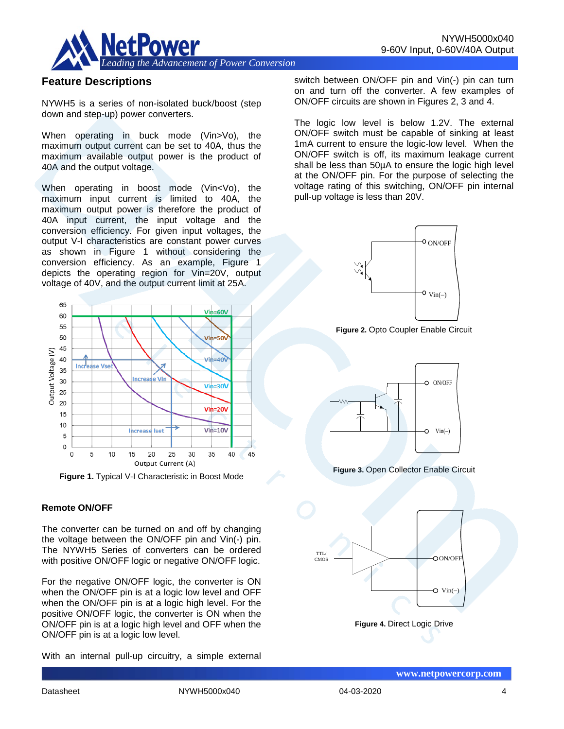

# **Feature Descriptions**

NYWH5 is a series of non-isolated buck/boost (step down and step-up) power converters.

When operating in buck mode (Vin>Vo), the maximum output current can be set to 40A, thus the maximum available output power is the product of 40A and the output voltage.

When operating in boost mode (Vin<Vo), the maximum input current is limited to 40A, the maximum output power is therefore the product of 40A input current, the input voltage and the conversion efficiency. For given input voltages, the output V-I characteristics are constant power curves as shown in Figure 1 without considering the conversion efficiency. As an example, Figure 1 depicts the operating region for Vin=20V, output voltage of 40V, and the output current limit at 25A.



**Figure 1.** Typical V-I Characteristic in Boost Mode

#### **Remote ON/OFF**

The converter can be turned on and off by changing the voltage between the ON/OFF pin and Vin(-) pin. The NYWH5 Series of converters can be ordered with positive ON/OFF logic or negative ON/OFF logic.

For the negative ON/OFF logic, the converter is ON when the ON/OFF pin is at a logic low level and OFF when the ON/OFF pin is at a logic high level. For the positive ON/OFF logic, the converter is ON when the ON/OFF pin is at a logic high level and OFF when the ON/OFF pin is at a logic low level.

With an internal pull-up circuitry, a simple external

switch between ON/OFF pin and Vin(-) pin can turn on and turn off the converter. A few examples of ON/OFF circuits are shown in Figures 2, 3 and 4.

The logic low level is below 1.2V. The external ON/OFF switch must be capable of sinking at least 1mA current to ensure the logic-low level. When the ON/OFF switch is off, its maximum leakage current shall be less than 50µA to ensure the logic high level at the ON/OFF pin. For the purpose of selecting the voltage rating of this switching, ON/OFF pin internal pull-up voltage is less than 20V.



**Figure 2.** Opto Coupler Enable Circuit



**Figure 3.** Open Collector Enable Circuit

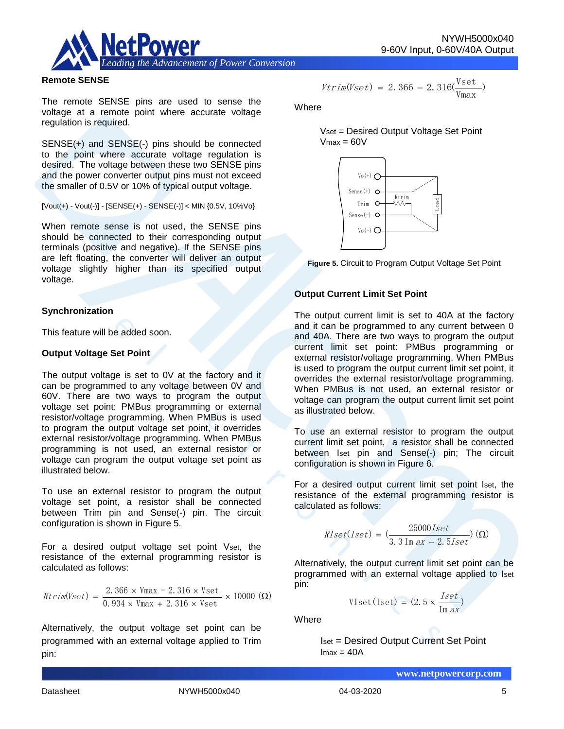

#### **Remote SENSE**

The remote SENSE pins are used to sense the voltage at a remote point where accurate voltage regulation is required.

SENSE(+) and SENSE(-) pins should be connected to the point where accurate voltage regulation is desired. The voltage between these two SENSE pins and the power converter output pins must not exceed the smaller of 0.5V or 10% of typical output voltage.

 $[Vout(+) - Vout(-)] - [SENSE(+) - SENSE(-)] < MIN {0.5V, 10\%Vo}$ 

When remote sense is not used, the SENSE pins should be connected to their corresponding output terminals (positive and negative). If the SENSE pins are left floating, the converter will deliver an output voltage slightly higher than its specified output voltage.

#### **Synchronization**

This feature will be added soon.

#### **Output Voltage Set Point**

The output voltage is set to 0V at the factory and it can be programmed to any voltage between 0V and 60V. There are two ways to program the output voltage set point: PMBus programming or external resistor/voltage programming. When PMBus is used to program the output voltage set point, it overrides external resistor/voltage programming. When PMBus programming is not used, an external resistor or voltage can program the output voltage set point as illustrated below.

To use an external resistor to program the output voltage set point, a resistor shall be connected between Trim pin and Sense(-) pin. The circuit configuration is shown in Figure 5.

For a desired output voltage set point Vset, the resistance of the external programming resistor is calculated as follows:

$$
Rtrim(Vset) = \frac{2.366 \times Vmax - 2.316 \times Vset}{0.934 \times Vmax + 2.316 \times Vset} \times 10000 \text{ } (\Omega)
$$

Alternatively, the output voltage set point can be programmed with an external voltage applied to Trim pin:

$$
\mathit{Vtrim}(\mathit{Vset})\,=\,2.\,366\,-\,2.\,316(\frac{\mathit{Vset}}{\mathit{Vmax}})\,
$$

**Where** 

Vset = Desired Output Voltage Set Point  $V$ max =  $60V$ 





#### **Output Current Limit Set Point**

The output current limit is set to 40A at the factory and it can be programmed to any current between 0 and 40A. There are two ways to program the output current limit set point: PMBus programming or external resistor/voltage programming. When PMBus is used to program the output current limit set point, it overrides the external resistor/voltage programming. When PMBus is not used, an external resistor or voltage can program the output current limit set point as illustrated below.

To use an external resistor to program the output current limit set point, a resistor shall be connected between Iset pin and Sense(-) pin; The circuit configuration is shown in Figure 6.

For a desired output current limit set point Iset, the resistance of the external programming resistor is calculated as follows:

$$
RIset(Iset) = \left(\frac{25000Iset}{3.3 \text{ Im } ax - 2.5Iset}\right)(\Omega)
$$

Alternatively, the output current limit set point can be programmed with an external voltage applied to Iset pin:

$$
VIset(Iset) = (2.5 \times \frac{Iset}{Im\ ax})
$$

Where

Iset = Desired Output Current Set Point  $Imax = 40A$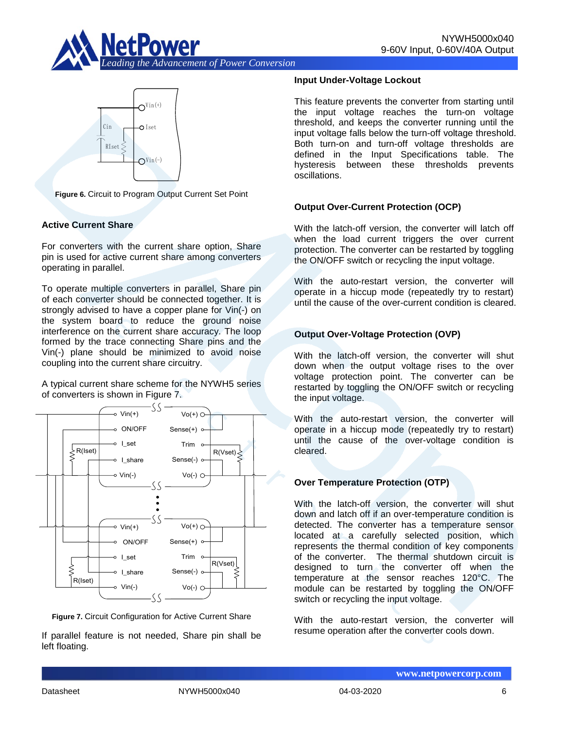



**Figure 6.** Circuit to Program Output Current Set Point

### **Active Current Share**

For converters with the current share option, Share pin is used for active current share among converters operating in parallel.

To operate multiple converters in parallel, Share pin of each converter should be connected together. It is strongly advised to have a copper plane for Vin(-) on the system board to reduce the ground noise interference on the current share accuracy. The loop formed by the trace connecting Share pins and the Vin(-) plane should be minimized to avoid noise coupling into the current share circuitry.

A typical current share scheme for the NYWH5 series of converters is shown in Figure 7.





If parallel feature is not needed, Share pin shall be left floating.

#### **Input Under-Voltage Lockout**

This feature prevents the converter from starting until the input voltage reaches the turn-on voltage threshold, and keeps the converter running until the input voltage falls below the turn-off voltage threshold. Both turn-on and turn-off voltage thresholds are defined in the Input Specifications table. The hysteresis between these thresholds prevents oscillations.

### **Output Over-Current Protection (OCP)**

With the latch-off version, the converter will latch off when the load current triggers the over current protection. The converter can be restarted by toggling the ON/OFF switch or recycling the input voltage.

With the auto-restart version, the converter will operate in a hiccup mode (repeatedly try to restart) until the cause of the over-current condition is cleared.

### **Output Over-Voltage Protection (OVP)**

With the latch-off version, the converter will shut down when the output voltage rises to the over voltage protection point. The converter can be restarted by toggling the ON/OFF switch or recycling the input voltage.

With the auto-restart version, the converter will operate in a hiccup mode (repeatedly try to restart) until the cause of the over-voltage condition is cleared.

### **Over Temperature Protection (OTP)**

With the latch-off version, the converter will shut down and latch off if an over-temperature condition is detected. The converter has a temperature sensor located at a carefully selected position, which represents the thermal condition of key components of the converter. The thermal shutdown circuit is designed to turn the converter off when the temperature at the sensor reaches 120°C. The module can be restarted by toggling the ON/OFF switch or recycling the input voltage.

With the auto-restart version, the converter will resume operation after the converter cools down.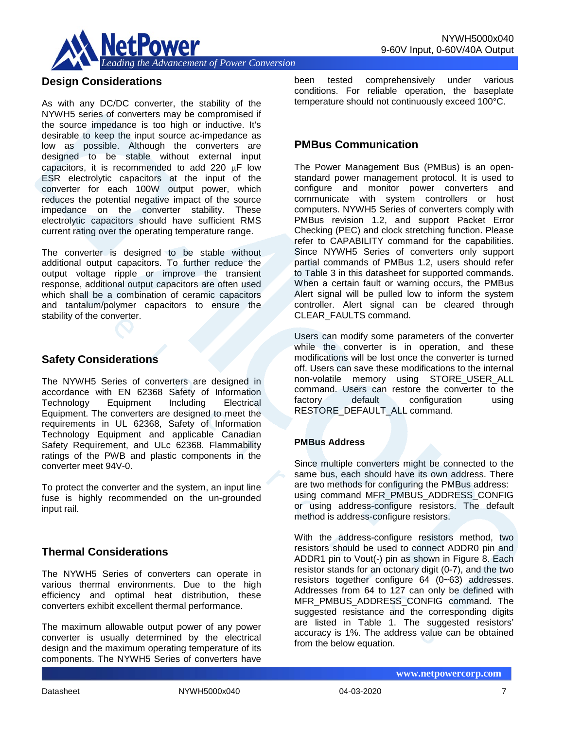

# **Design Considerations**

As with any DC/DC converter, the stability of the NYWH5 series of converters may be compromised if the source impedance is too high or inductive. It's desirable to keep the input source ac-impedance as low as possible. Although the converters are designed to be stable without external input capacitors, it is recommended to add 220  $\mu$ F low ESR electrolytic capacitors at the input of the converter for each 100W output power, which reduces the potential negative impact of the source impedance on the converter stability. These electrolytic capacitors should have sufficient RMS current rating over the operating temperature range.

The converter is designed to be stable without additional output capacitors. To further reduce the output voltage ripple or improve the transient response, additional output capacitors are often used which shall be a combination of ceramic capacitors and tantalum/polymer capacitors to ensure the stability of the converter.

## **Safety Considerations**

The NYWH5 Series of converters are designed in accordance with EN 62368 Safety of Information Technology Equipment Including Electrical Equipment. The converters are designed to meet the requirements in UL 62368, Safety of Information Technology Equipment and applicable Canadian Safety Requirement, and ULc 62368. Flammability ratings of the PWB and plastic components in the converter meet 94V-0.

To protect the converter and the system, an input line fuse is highly recommended on the un-grounded input rail.

# **Thermal Considerations**

The NYWH5 Series of converters can operate in various thermal environments. Due to the high efficiency and optimal heat distribution, these converters exhibit excellent thermal performance.

The maximum allowable output power of any power converter is usually determined by the electrical design and the maximum operating temperature of its components. The NYWH5 Series of converters have

been tested comprehensively under various conditions. For reliable operation, the baseplate temperature should not continuously exceed 100°C.

# **PMBus Communication**

The Power Management Bus (PMBus) is an openstandard power management protocol. It is used to configure and monitor power converters and communicate with system controllers or host computers. NYWH5 Series of converters comply with PMBus revision 1.2, and support Packet Error Checking (PEC) and clock stretching function. Please refer to CAPABILITY command for the capabilities. Since NYWH5 Series of converters only support partial commands of PMBus 1.2, users should refer to Table 3 in this datasheet for supported commands. When a certain fault or warning occurs, the PMBus Alert signal will be pulled low to inform the system controller. Alert signal can be cleared through CLEAR\_FAULTS command.

Users can modify some parameters of the converter while the converter is in operation, and these modifications will be lost once the converter is turned off. Users can save these modifications to the internal non-volatile memory using STORE\_USER\_ALL command. Users can restore the converter to the factory default configuration using RESTORE\_DEFAULT\_ALL command.

### **PMBus Address**

Since multiple converters might be connected to the same bus, each should have its own address. There are two methods for configuring the PMBus address: using command MFR\_PMBUS\_ADDRESS\_CONFIG or using address-configure resistors. The default method is address-configure resistors.

With the address-configure resistors method, two resistors should be used to connect ADDR0 pin and ADDR1 pin to Vout(-) pin as shown in Figure 8. Each resistor stands for an octonary digit (0-7), and the two resistors together configure 64 (0~63) addresses. Addresses from 64 to 127 can only be defined with MFR\_PMBUS\_ADDRESS\_CONFIG command. The suggested resistance and the corresponding digits are listed in Table 1. The suggested resistors' accuracy is 1%. The address value can be obtained from the below equation.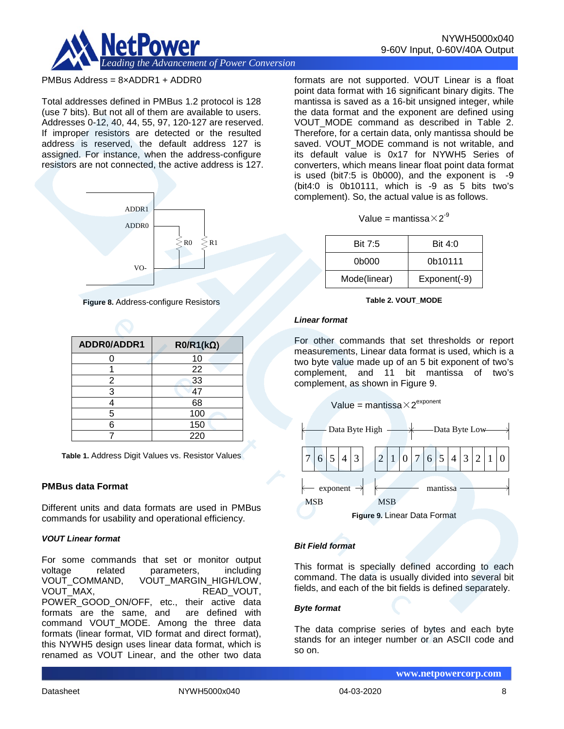

#### PMBus Address = 8×ADDR1 + ADDR0

Total addresses defined in PMBus 1.2 protocol is 128 (use 7 bits). But not all of them are available to users. Addresses 0-12, 40, 44, 55, 97, 120-127 are reserved. If improper resistors are detected or the resulted address is reserved, the default address 127 is assigned. For instance, when the address-configure resistors are not connected, the active address is 127.



**Figure 8.** Address-configure Resistors

| ADDR0/ADDR1 | $RO/R1(k\Omega)$ |
|-------------|------------------|
| n           | 10               |
|             | 22               |
| 2           | 33               |
| 3           | 47               |
|             | 68               |
| 5           | 100              |
| 6           | 150              |
|             | 220              |

**Table 1.** Address Digit Values vs. Resistor Values

#### **PMBus data Format**

Different units and data formats are used in PMBus commands for usability and operational efficiency.

#### *VOUT Linear format*

For some commands that set or monitor output voltage related parameters, including VOUT\_COMMAND, VOUT\_MARGIN\_HIGH/LOW, READ\_VOUT, POWER\_GOOD\_ON/OFF, etc., their active data formats are the same, and command VOUT\_MODE. Among the three data formats (linear format, VID format and direct format), this NYWH5 design uses linear data format, which is renamed as VOUT Linear, and the other two data formats are not supported. VOUT Linear is a float point data format with 16 significant binary digits. The mantissa is saved as a 16-bit unsigned integer, while the data format and the exponent are defined using VOUT MODE command as described in Table 2. Therefore, for a certain data, only mantissa should be saved. VOUT MODE command is not writable, and its default value is 0x17 for NYWH5 Series of converters, which means linear float point data format is used (bit7:5 is 0b000), and the exponent is -9 (bit4:0 is 0b10111, which is -9 as 5 bits two's complement). So, the actual value is as follows.

|  |  | Value = mantissa $\times$ 2 $^9$ |  |  |
|--|--|----------------------------------|--|--|
|--|--|----------------------------------|--|--|

| Bit 7:5      | Bit $4:0$    |
|--------------|--------------|
| 0b000        | 0b10111      |
| Mode(linear) | Exponent(-9) |

#### **Table 2. VOUT\_MODE**

#### *Linear format*

For other commands that set thresholds or report measurements, Linear data format is used, which is a two byte value made up of an 5 bit exponent of two's complement, and 11 bit mantissa of two's complement, as shown in Figure 9.





#### *Bit Field format*

This format is specially defined according to each command. The data is usually divided into several bit fields, and each of the bit fields is defined separately.

#### *Byte format*

The data comprise series of bytes and each byte stands for an integer number or an ASCII code and so on.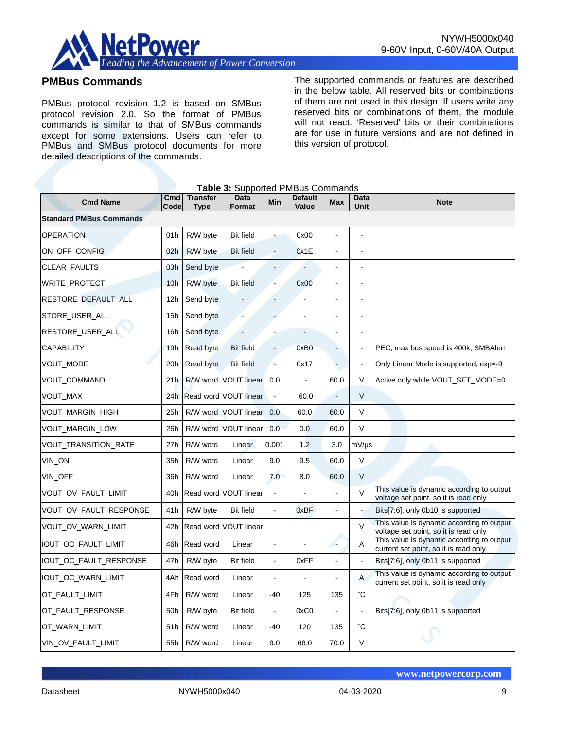

# **PMBus Commands**

PMBus protocol revision 1.2 is based on SMBus protocol revision 2.0. So the format of PMBus commands is similar to that of SMBus commands except for some extensions. Users can refer to PMBus and SMBus protocol documents for more detailed descriptions of the commands.

The supported commands or features are described in the below table. All reserved bits or combinations of them are not used in this design. If users write any reserved bits or combinations of them, the module will not react. 'Reserved' bits or their combinations are for use in future versions and are not defined in this version of protocol.

|  | Table 3: Supported PMBus Commands |
|--|-----------------------------------|
|--|-----------------------------------|

| <b>Cmd Name</b>                | Cmd<br>Code     | <b>Transfer</b><br>Type | Data<br>Format        | <b>Min</b>               | <b>Default</b><br>Value | <b>Max</b>     | Data<br>Unit         | <b>Note</b>                                                                        |
|--------------------------------|-----------------|-------------------------|-----------------------|--------------------------|-------------------------|----------------|----------------------|------------------------------------------------------------------------------------|
| <b>Standard PMBus Commands</b> |                 |                         |                       |                          |                         |                |                      |                                                                                    |
| <b>OPERATION</b>               | 01h             | R/W byte                | <b>Bit field</b>      | ä,                       | 0x00                    |                | $\overline{a}$       |                                                                                    |
| ON_OFF_CONFIG                  | 02 <sub>h</sub> | R/W byte                | <b>Bit field</b>      | $\overline{\phantom{a}}$ | 0x1E                    | $\blacksquare$ |                      |                                                                                    |
| CLEAR_FAULTS                   | 03h             | Send byte               |                       |                          |                         |                |                      |                                                                                    |
| WRITE_PROTECT                  | 10 <sub>h</sub> | R/W byte                | <b>Bit field</b>      | Ξ                        | 0x00                    | $\overline{a}$ | $\blacksquare$       |                                                                                    |
| RESTORE DEFAULT ALL            | 12 <sub>h</sub> | Send byte               |                       | ä,                       |                         | ÷              | $\overline{a}$       |                                                                                    |
| STORE_USER_ALL                 | 15h             | Send byte               |                       |                          |                         |                |                      |                                                                                    |
| RESTORE_USER_ALL               | 16h             | Send byte               | $\overline{a}$        |                          |                         | ÷,             | $\blacksquare$       |                                                                                    |
| <b>CAPABILITY</b>              | 19h             | Read byte               | <b>Bit field</b>      | $\blacksquare$           | 0xB0                    | $\blacksquare$ | $\sim$               | PEC, max bus speed is 400k, SMBAlert                                               |
| VOUT_MODE                      | 20h             | Read byte               | <b>Bit field</b>      | $\blacksquare$           | 0x17                    |                |                      | Only Linear Mode is supported, exp=-9                                              |
| VOUT_COMMAND                   | 21h             | R/W word                | <b>VOUT linear</b>    | 0.0                      | $\blacksquare$          | 60.0           | $\vee$               | Active only while VOUT_SET_MODE=0                                                  |
| VOUT_MAX                       | 24h             |                         | Read word VOUT linear | $\blacksquare$           | 60.0                    |                | $\vee$               |                                                                                    |
| VOUT_MARGIN_HIGH               | 25h             |                         | R/W word VOUT linear  | 0.0                      | 60.0                    | 60.0           | $\vee$               |                                                                                    |
| VOUT_MARGIN_LOW                | 26h             |                         | R/W word VOUT linear  | 0.0                      | 0.0                     | 60.0           | V                    |                                                                                    |
| VOUT_TRANSITION_RATE           | 27h             | R/W word                | Linear                | 0.001                    | 1.2                     | 3.0            | $mV/\mu s$           |                                                                                    |
| VIN_ON                         | 35h             | R/W word                | Linear                | 9.0                      | 9.5                     | 60.0           | $\vee$               |                                                                                    |
| VIN OFF                        | 36h             | R/W word                | Linear                | 7.0                      | 8.0                     | 60.0           | $\vee$               |                                                                                    |
| VOUT_OV_FAULT_LIMIT            | 40h             |                         | Read word VOUT linear | ÷,                       |                         |                | $\vee$               | This value is dynamic according to output<br>voltage set point, so it is read only |
| VOUT_OV_FAULT_RESPONSE         | 41h             | R/W byte                | <b>Bit field</b>      | L.                       | 0xBF                    | $\blacksquare$ |                      | Bits[7:6], only 0b10 is supported                                                  |
| VOUT_OV_WARN_LIMIT             | 42h             |                         | Read word VOUT linear |                          |                         |                | V                    | This value is dynamic according to output<br>voltage set point, so it is read only |
| IOUT_OC_FAULT_LIMIT            | 46h             | Read word               | Linear                | $\blacksquare$           | $\overline{a}$          | 74             | Α                    | This value is dynamic according to output<br>current set point, so it is read only |
| IOUT_OC_FAULT_RESPONSE         | 47h             | R/W byte                | <b>Bit field</b>      | $\blacksquare$           | 0xFF                    | $\blacksquare$ | $\ddot{\phantom{a}}$ | Bits[7:6], only 0b11 is supported                                                  |
| IOUT_OC_WARN_LIMIT             | 4Ah             | Read word               | Linear                | ä,                       |                         |                | $\mathsf{A}$         | This value is dynamic according to output<br>current set point, so it is read only |
| OT_FAULT_LIMIT                 | 4Fh             | R/W word                | Linear                | $-40$                    | 125                     | 135            | $^\circ \text{C}$    |                                                                                    |
| OT_FAULT_RESPONSE              | 50h             | R/W byte                | <b>Bit field</b>      | $\blacksquare$           | 0xC0                    | $\overline{a}$ | $\overline{a}$       | Bits[7:6], only 0b11 is supported                                                  |
| OT_WARN_LIMIT                  | 51h             | R/W word                | Linear                | $-40$                    | 120                     | 135            | °С                   |                                                                                    |
| VIN_OV_FAULT_LIMIT             | 55h             | R/W word                | Linear                | 9.0                      | 66.0                    | 70.0           | $\vee$               |                                                                                    |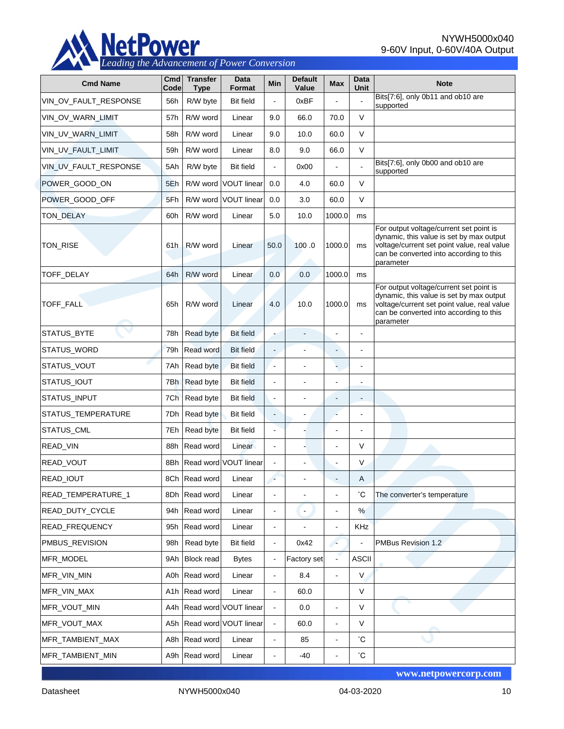

NYWH5000x040 9-60V Input, 0-60V/40A Output

| <b>Cmd Name</b>       | Cmd<br>Code      | <b>Transfer</b><br><b>Type</b> | Data<br>Format            | Min            | <b>Default</b><br>Value  | <b>Max</b>               | Data<br>Unit   | <b>Note</b>                                                                                                                                                                                |
|-----------------------|------------------|--------------------------------|---------------------------|----------------|--------------------------|--------------------------|----------------|--------------------------------------------------------------------------------------------------------------------------------------------------------------------------------------------|
| VIN_OV_FAULT_RESPONSE | 56h              | R/W byte                       | <b>Bit field</b>          | ä,             | 0xBF                     |                          |                | Bits[7:6], only 0b11 and ob10 are<br>supported                                                                                                                                             |
| VIN_OV_WARN_LIMIT     | 57h              | R/W word                       | Linear                    | 9.0            | 66.0                     | 70.0                     | $\vee$         |                                                                                                                                                                                            |
| VIN UV WARN LIMIT     | 58h              | R/W word                       | Linear                    | 9.0            | 10.0                     | 60.0                     | V              |                                                                                                                                                                                            |
| VIN_UV_FAULT_LIMIT    | 59h              | R/W word                       | Linear                    | 8.0            | 9.0                      | 66.0                     | V              |                                                                                                                                                                                            |
| VIN_UV_FAULT_RESPONSE | 5Ah              | R/W byte                       | <b>Bit field</b>          | L.             | 0x00                     | ä,                       |                | Bits[7:6], only 0b00 and ob10 are<br>supported                                                                                                                                             |
| POWER_GOOD_ON         | 5Eh              |                                | R/W word VOUT linear      | 0.0            | 4.0                      | 60.0                     | V              |                                                                                                                                                                                            |
| POWER_GOOD_OFF        | 5Fh              |                                | R/W word VOUT linear      | 0.0            | 3.0                      | 60.0                     | V              |                                                                                                                                                                                            |
| TON_DELAY             | 60h              | R/W word                       | Linear                    | 5.0            | 10.0                     | 1000.0                   | ms             |                                                                                                                                                                                            |
| TON_RISE              | 61h              | R/W word                       | Linear                    | 50.0           | 100.0                    | 1000.0                   | ms             | For output voltage/current set point is<br>dynamic, this value is set by max output<br>voltage/current set point value, real value<br>can be converted into according to this<br>parameter |
| TOFF_DELAY            | 64h              | R/W word                       | Linear                    | 0.0            | 0.0                      | 1000.0                   | ms             |                                                                                                                                                                                            |
| <b>TOFF FALL</b>      | 65h              | R/W word                       | Linear                    | 4.0            | 10.0                     | 1000.0                   | ms             | For output voltage/current set point is<br>dynamic, this value is set by max output<br>voltage/current set point value, real value<br>can be converted into according to this<br>parameter |
| STATUS_BYTE           | 78h              | Read byte                      | <b>Bit field</b>          |                |                          | Ĭ.                       |                |                                                                                                                                                                                            |
| STATUS_WORD           | 79h              | Read word                      | <b>Bit field</b>          | L.             |                          | $\frac{1}{2}$            |                |                                                                                                                                                                                            |
| STATUS_VOUT           | 7Ah              | Read byte                      | <b>Bit field</b>          | $\overline{a}$ |                          |                          |                |                                                                                                                                                                                            |
| STATUS_IOUT           | 7Bh              | Read byte                      | <b>Bit field</b>          | $\overline{a}$ | $\overline{\phantom{a}}$ | $\overline{\phantom{a}}$ | $\overline{a}$ |                                                                                                                                                                                            |
| STATUS_INPUT          | 7Ch              | Read byte                      | <b>Bit field</b>          | $\blacksquare$ | $\overline{a}$           | $\overline{\phantom{a}}$ |                |                                                                                                                                                                                            |
| STATUS_TEMPERATURE    | 7Dh              | Read byte                      | <b>Bit field</b>          | Ξ.             | $\overline{\phantom{a}}$ | ä,                       | L,             |                                                                                                                                                                                            |
| STATUS_CML            | 7Eh              | Read byte                      | <b>Bit field</b>          | L.             |                          | Ĭ.                       |                |                                                                                                                                                                                            |
| READ_VIN              | 88h              | Read word                      | Linear                    |                |                          | L,                       | $\vee$         |                                                                                                                                                                                            |
| READ_VOUT             | 8Bh              |                                | Read word VOUT linear     |                |                          | ÷,                       | V              |                                                                                                                                                                                            |
| <b>READ IOUT</b>      |                  | 8Ch Read word                  | Linear                    |                |                          |                          | A              |                                                                                                                                                                                            |
| READ_TEMPERATURE_1    | 8Dh              | Read word                      | Linear                    |                |                          |                          | °С             | The converter's temperature                                                                                                                                                                |
| READ_DUTY_CYCLE       | 94h              | Read word                      | Linear                    |                | $\blacksquare$           | $\blacksquare$           | %              |                                                                                                                                                                                            |
| READ_FREQUENCY        | 95h              | Read word                      | Linear                    | $\blacksquare$ |                          | $\overline{a}$           | KHz            |                                                                                                                                                                                            |
| PMBUS_REVISION        | 98h              | Read byte                      | <b>Bit field</b>          | $\blacksquare$ | 0x42                     | ×                        |                | PMBus Revision 1.2                                                                                                                                                                         |
| MFR_MODEL             | 9Ah              | <b>Block read</b>              | <b>Bytes</b>              |                | Factory set              | $\blacksquare$           | <b>ASCII</b>   |                                                                                                                                                                                            |
| MFR_VIN_MIN           | A0h              | Read word                      | Linear                    | $\blacksquare$ | 8.4                      | $\blacksquare$           | $\vee$         |                                                                                                                                                                                            |
| MFR_VIN_MAX           | A <sub>1</sub> h | Read word                      | Linear                    | L.             | 60.0                     |                          | V              |                                                                                                                                                                                            |
| MFR_VOUT_MIN          |                  |                                | A4h Read word VOUT linear | L.             | 0.0                      | $\blacksquare$           | $\vee$         |                                                                                                                                                                                            |
| MFR_VOUT_MAX          | A5h              |                                | Read word VOUT linear     |                | 60.0                     | $\blacksquare$           | $\vee$         |                                                                                                                                                                                            |
| MFR_TAMBIENT_MAX      | A8h              | Read word                      | Linear                    |                | 85                       | ä,                       | °С             |                                                                                                                                                                                            |
| MFR_TAMBIENT_MIN      | A9h              | Read word                      | Linear                    |                | $-40$                    |                          | $^{\circ}$ C   |                                                                                                                                                                                            |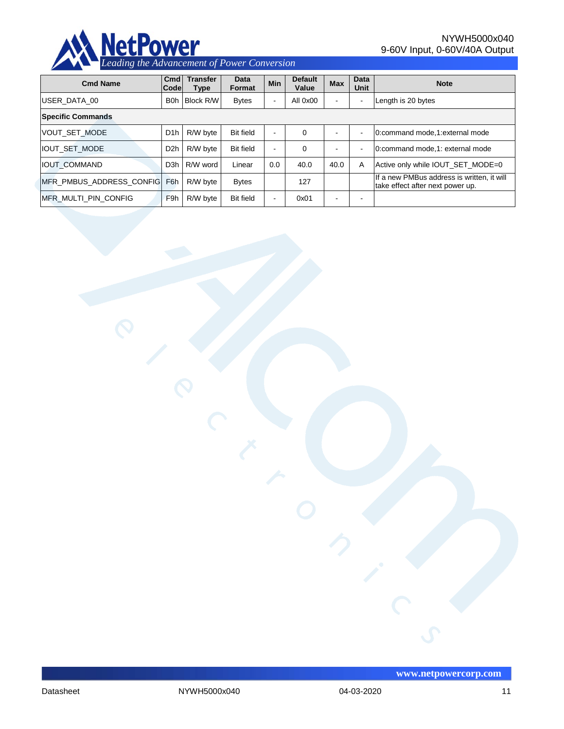

NYWH5000x040 9-60V Input, 0-60V/40A Output

| <b>Cmd Name</b>            | C <sub>md</sub><br><b>Codel</b> | <b>Transfer</b><br>Type | Data<br>Format   | <b>Min</b> | <b>Default</b><br>Value | <b>Max</b>               | <b>Data</b><br>Unit | <b>Note</b>                                                                    |
|----------------------------|---------------------------------|-------------------------|------------------|------------|-------------------------|--------------------------|---------------------|--------------------------------------------------------------------------------|
| USER DATA 00               | <b>B</b> <sub>O</sub> h         | <b>Block R/W</b>        | <b>Bytes</b>     | ۰          | All 0x00                |                          |                     | Length is 20 bytes                                                             |
| <b>Specific Commands</b>   |                                 |                         |                  |            |                         |                          |                     |                                                                                |
| <b>VOUT SET MODE</b>       | D <sub>1</sub> h                | R/W byte                | <b>Bit field</b> | ۰.         | $\Omega$                |                          |                     | 0:command mode,1:external mode                                                 |
| <b>IOUT SET MODE</b>       | D <sub>2</sub> h                | R/W byte                | <b>Bit field</b> | $\,$       | 0                       | -                        | ÷                   | 0:command mode, 1: external mode                                               |
| <b>IIOUT COMMAND</b>       | D <sub>3</sub> h                | R/W word                | Linear           | 0.0        | 40.0                    | 40.0                     | A                   | Active only while IOUT SET MODE=0                                              |
| IMFR PMBUS ADDRESS CONFIGI | F6h                             | R/W byte                | <b>Bytes</b>     |            | 127                     |                          |                     | If a new PMBus address is written, it will<br>take effect after next power up. |
| IMFR MULTI PIN CONFIG      | F <sub>9h</sub>                 | R/W byte                | <b>Bit field</b> | -          | 0x01                    | $\overline{\phantom{0}}$ |                     |                                                                                |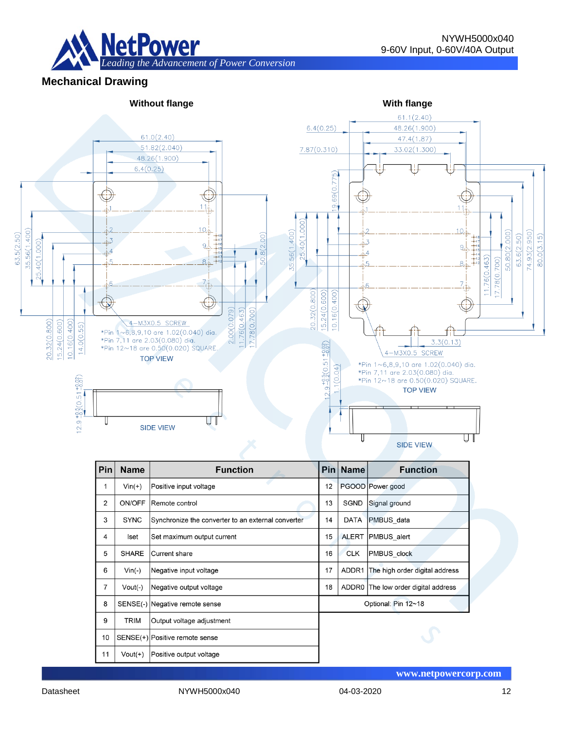

**Mechanical Drawing**



| Pin | <b>Name</b>                    | <b>Function</b>                                    |                     | Pin Name     | <b>Function</b>                |  |  |
|-----|--------------------------------|----------------------------------------------------|---------------------|--------------|--------------------------------|--|--|
| 1   | $Vin(+)$                       | Positive input voltage                             |                     |              | PGOOD Power good               |  |  |
| 2   | ON/OFF                         | Remote control                                     |                     | <b>SGND</b>  | Signal ground                  |  |  |
| 3   | <b>SYNC</b>                    | Synchronize the converter to an external converter |                     | <b>DATA</b>  | PMBUS data                     |  |  |
| 4   | Iset                           | Set maximum output current                         | 15                  | <b>ALERT</b> | PMBUS alert                    |  |  |
| 5   | <b>SHARE</b>                   | <b>Current share</b>                               | 16                  | <b>CLK</b>   | PMBUS clock                    |  |  |
| 6   | $Vin(-)$                       | Negative input voltage                             | 17                  | ADDR1        | The high order digital address |  |  |
| 7   | $Vout(-)$                      | Negative output voltage                            | 18                  | ADDR0        | The low order digital address  |  |  |
| 8   | SENSE(-) Negative remote sense |                                                    | Optional: Pin 12~18 |              |                                |  |  |
| 9   | TRIM                           | Output voltage adjustment                          |                     |              |                                |  |  |
| 10  | SENSE(+) Positive remote sense |                                                    |                     |              |                                |  |  |
| 11  | $Vout(+)$                      | Positive output voltage                            |                     |              |                                |  |  |